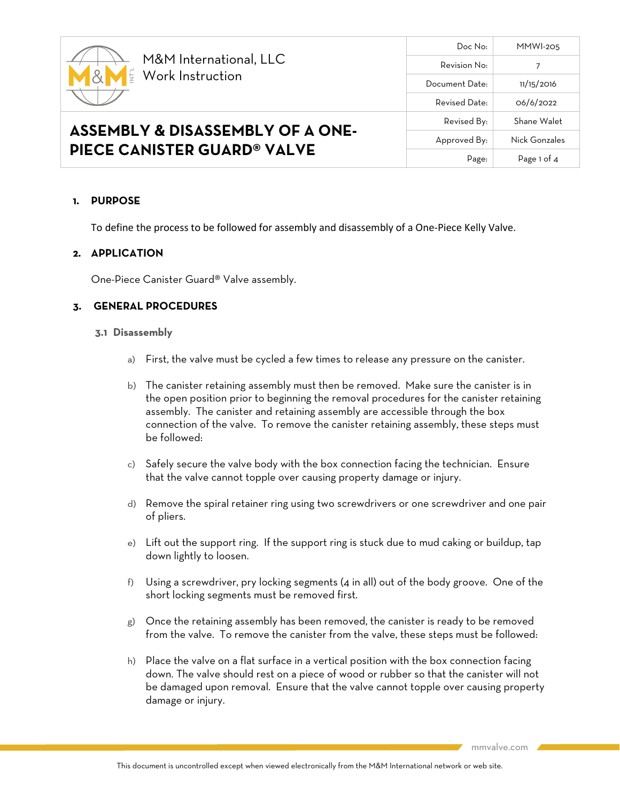

# **1. PURPOSE**

To define the process to be followed for assembly and disassembly of a One-Piece Kelly Valve.

## **2. APPLICATION**

One-Piece Canister Guard® Valve assembly.

# **3. GENERAL PROCEDURES**

#### **3.1 Disassembly**

- a) First, the valve must be cycled a few times to release any pressure on the canister.
- b) The canister retaining assembly must then be removed. Make sure the canister is in the open position prior to beginning the removal procedures for the canister retaining assembly. The canister and retaining assembly are accessible through the box connection of the valve. To remove the canister retaining assembly, these steps must be followed:
- c) Safely secure the valve body with the box connection facing the technician. Ensure that the valve cannot topple over causing property damage or injury.
- d) Remove the spiral retainer ring using two screwdrivers or one screwdriver and one pair of pliers.
- e) Lift out the support ring. If the support ring is stuck due to mud caking or buildup, tap down lightly to loosen.
- f) Using a screwdriver, pry locking segments (4 in all) out of the body groove. One of the short locking segments must be removed first.
- g) Once the retaining assembly has been removed, the canister is ready to be removed from the valve. To remove the canister from the valve, these steps must be followed:
- h) Place the valve on a flat surface in a vertical position with the box connection facing down. The valve should rest on a piece of wood or rubber so that the canister will not be damaged upon removal. Ensure that the valve cannot topple over causing property damage or injury.

mmvalve.com

Doc No: MMWI-205

Revised By: Shane Walet Approved By: Nick Gonzales

Page: Page 1 of 4

Revision No: 7 Document Date: 11/15/2016 Revised Date:  $0.6/6/2022$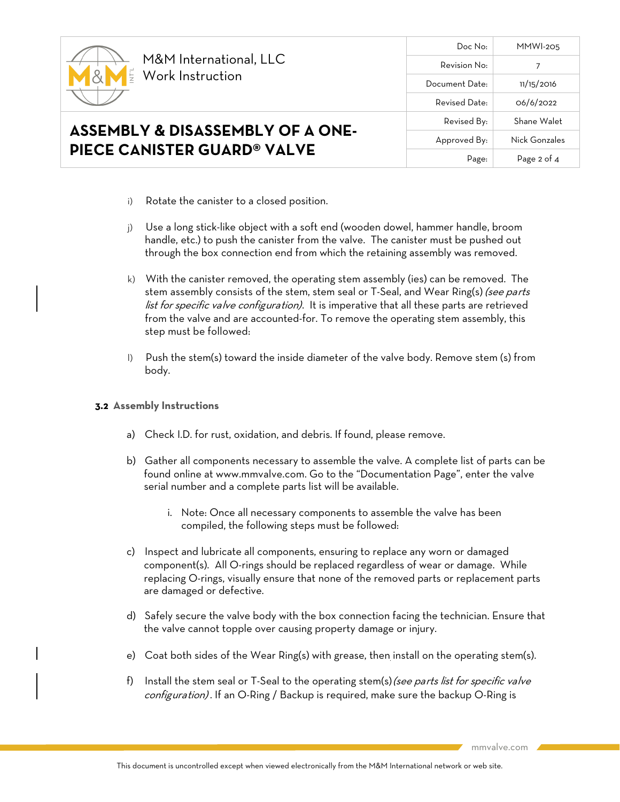

Doc No: MMWI-205 Revision No: 7 Document Date: 11/15/2016 Revised Date: 06/6/2022 Revised By: Shane Walet Approved By: Nick Gonzales Page: Page 2 of 4

- i) Rotate the canister to a closed position.
- j) Use a long stick-like object with a soft end (wooden dowel, hammer handle, broom handle, etc.) to push the canister from the valve. The canister must be pushed out through the box connection end from which the retaining assembly was removed.
- k) With the canister removed, the operating stem assembly (ies) can be removed. The stem assembly consists of the stem, stem seal or T-Seal, and Wear Ring(s) (see parts list for specific valve configuration). It is imperative that all these parts are retrieved from the valve and are accounted-for. To remove the operating stem assembly, this step must be followed:
- l) Push the stem(s) toward the inside diameter of the valve body. Remove stem (s) from body.

### **3.2 Assembly Instructions**

- a) Check I.D. for rust, oxidation, and debris. If found, please remove.
- b) Gather all components necessary to assemble the valve. A complete list of parts can be found online at [www.mmvalve.com.](http://www.mmvalve.com/) Go to the "Documentation Page", enter the valve serial number and a complete parts list will be available.
	- i. Note: Once all necessary components to assemble the valve has been compiled, the following steps must be followed:
- c) Inspect and lubricate all components, ensuring to replace any worn or damaged component(s). All O-rings should be replaced regardless of wear or damage. While replacing O-rings, visually ensure that none of the removed parts or replacement parts are damaged or defective.
- d) Safely secure the valve body with the box connection facing the technician. Ensure that the valve cannot topple over causing property damage or injury.
- e) Coat both sides of the Wear Ring(s) with grease, then install on the operating stem(s).
- f) Install the stem seal or T-Seal to the operating stem(s) (see parts list for specific valve configuration). If an O-Ring / Backup is required, make sure the backup O-Ring is

mmvalve.com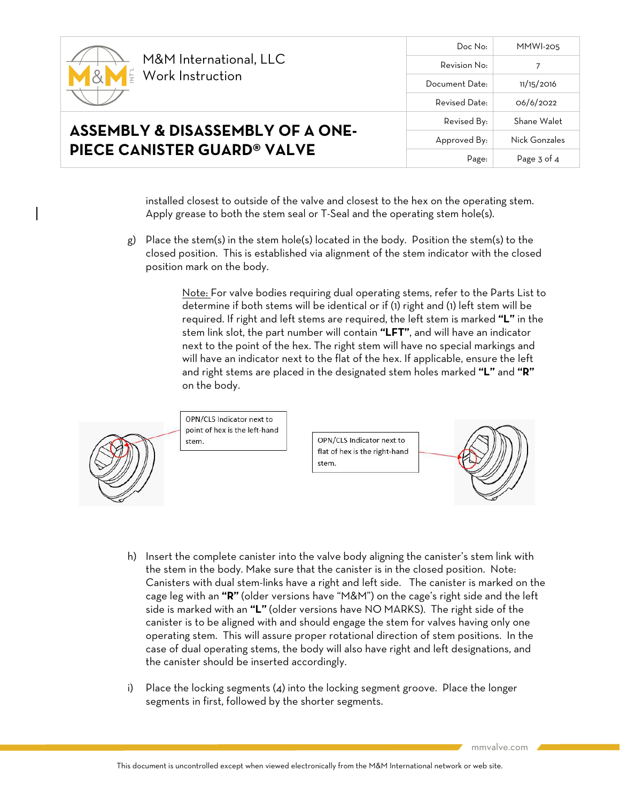

**ASSEMBLY & DISASSEMBLY OF A ONE-**

**PIECE CANISTER GUARD® VALVE**

Doc No: MMWI-205 Revision No: 7 Document Date: 11/15/2016 Revised Date: 06/6/2022 Revised By: Shane Walet Approved By: Nick Gonzales Page: Page 3 of 4

installed closest to outside of the valve and closest to the hex on the operating stem. Apply grease to both the stem seal or T-Seal and the operating stem hole(s).

g) Place the stem(s) in the stem hole(s) located in the body. Position the stem(s) to the closed position. This is established via alignment of the stem indicator with the closed position mark on the body.

> Note: For valve bodies requiring dual operating stems, refer to the Parts List to determine if both stems will be identical or if (1) right and (1) left stem will be required. If right and left stems are required, the left stem is marked **"L"** in the stem link slot, the part number will contain **"LFT"**, and will have an indicator next to the point of the hex. The right stem will have no special markings and will have an indicator next to the flat of the hex. If applicable, ensure the left and right stems are placed in the designated stem holes marked **"L"** and **"R"** on the body.



OPN/CLS Indicator next to point of hex is the left-hand

OPN/CLS Indicator next to flat of hex is the right-hand stem.



- h) Insert the complete canister into the valve body aligning the canister's stem link with the stem in the body. Make sure that the canister is in the closed position. Note: Canisters with dual stem-links have a right and left side. The canister is marked on the cage leg with an **"R"** (older versions have "M&M") on the cage's right side and the left side is marked with an **"L"** (older versions have NO MARKS). The right side of the canister is to be aligned with and should engage the stem for valves having only one operating stem. This will assure proper rotational direction of stem positions. In the case of dual operating stems, the body will also have right and left designations, and the canister should be inserted accordingly.
- i) Place the locking segments (4) into the locking segment groove. Place the longer segments in first, followed by the shorter segments.

mmvalve.com